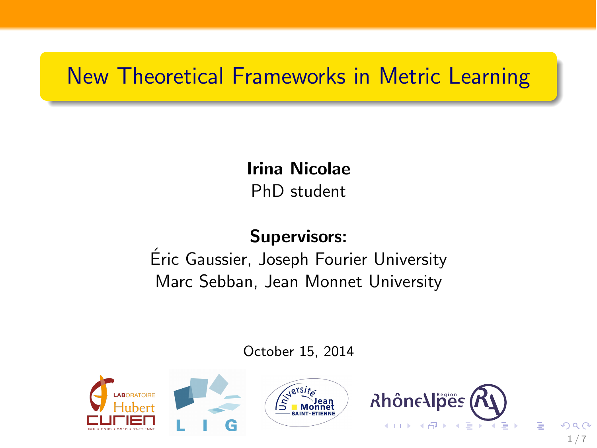# New Theoretical Frameworks in Metric Learning

Irina Nicolae PhD student

## Supervisors:

Eric Gaussier, Joseph Fourier University ´ Marc Sebban, Jean Monnet University

October 15, 2014

1/7

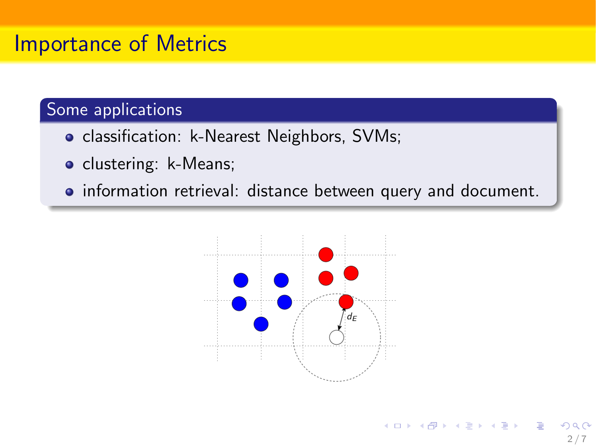# Importance of Metrics

#### Some applications

- classification: k-Nearest Neighbors, SVMs;
- clustering: k-Means;
- information retrieval: distance between query and document.



2/7

イロト イ押 トイヨ トイヨ トー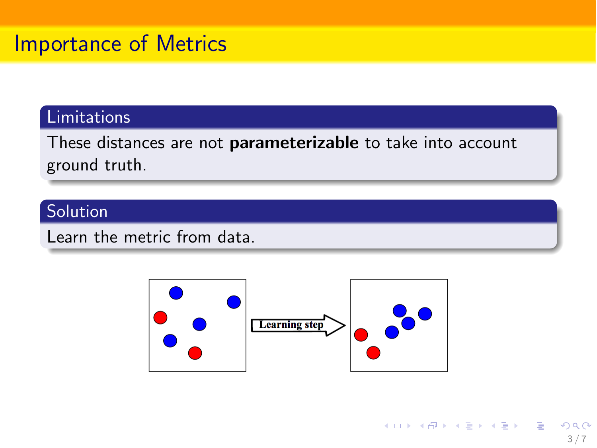#### Limitations

These distances are not parameterizable to take into account ground truth.

#### Solution

Learn the metric from data.



3/7

 $209$ 

K ロ X K @ X K 경 X X 경 X X 경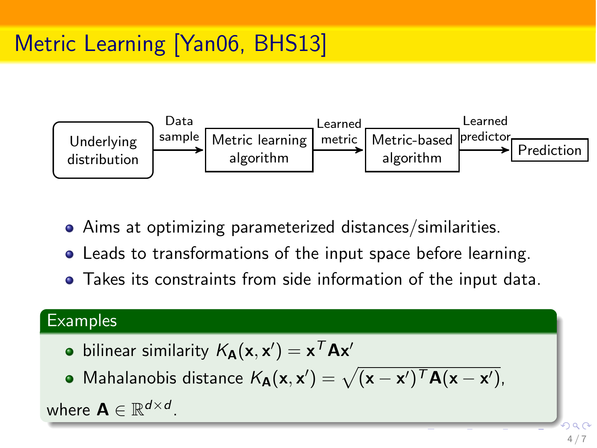

- Aims at optimizing parameterized distances/similarities.
- Leads to transformations of the input space before learning.
- Takes its constraints from side information of the input data.

#### **Examples**

- bilinear similarity  $\mathcal{K}_{\mathbf{A}}(\mathbf{x},\mathbf{x}') = \mathbf{x}^{\mathcal{T}}\mathbf{A}\mathbf{x}'$
- Mahalanobis distance  $K_{\mathbf{A}}(\mathbf{x}, \mathbf{x}') = \sqrt{(\mathbf{x} \mathbf{x}')^T \mathbf{A} (\mathbf{x} \mathbf{x}')},$

where  $A \in \mathbb{R}^{d \times d}$ .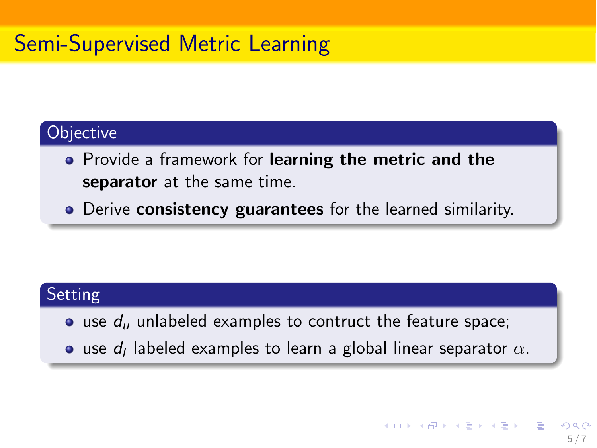# Semi-Supervised Metric Learning

#### **Objective**

- Provide a framework for learning the metric and the separator at the same time.
- Derive consistency guarantees for the learned similarity.

#### Setting

- **•** use  $d<sub>u</sub>$  unlabeled examples to contruct the feature space;
- use  $d_l$  labeled examples to learn a global linear separator  $\alpha$ .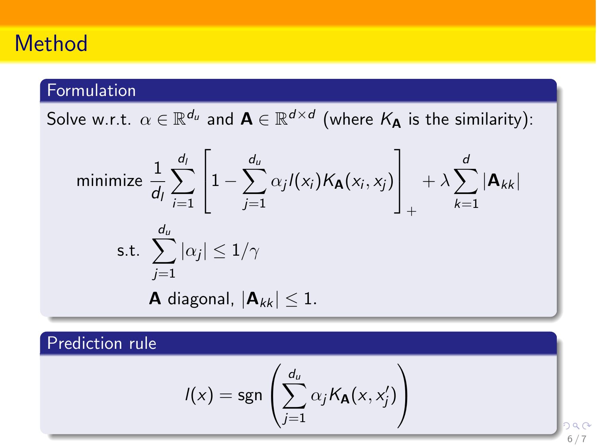# Method

## Formulation

Solve w.r.t.  $\alpha \in \mathbb{R}^{d_u}$  and  $A \in \mathbb{R}^{d \times d}$  (where  $K_A$  is the similarity):

minimize 
$$
\frac{1}{d_l} \sum_{i=1}^{d_l} \left[ 1 - \sum_{j=1}^{d_u} \alpha_j l(x_i) K_{\mathbf{A}}(x_i, x_j) \right]_+ + \lambda \sum_{k=1}^{d_l} |\mathbf{A}_{kk}|
$$
  
s.t.  $\sum_{j=1}^{d_u} |\alpha_j| \le 1/\gamma$   
**A** diagonal,  $|\mathbf{A}_{kk}| \le 1$ .

#### Prediction rule

$$
I(x) = \text{sgn}\left(\sum_{j=1}^{d_u} \alpha_j K_{\mathbf{A}}(x, x'_j)\right)
$$

െ പ 6/7